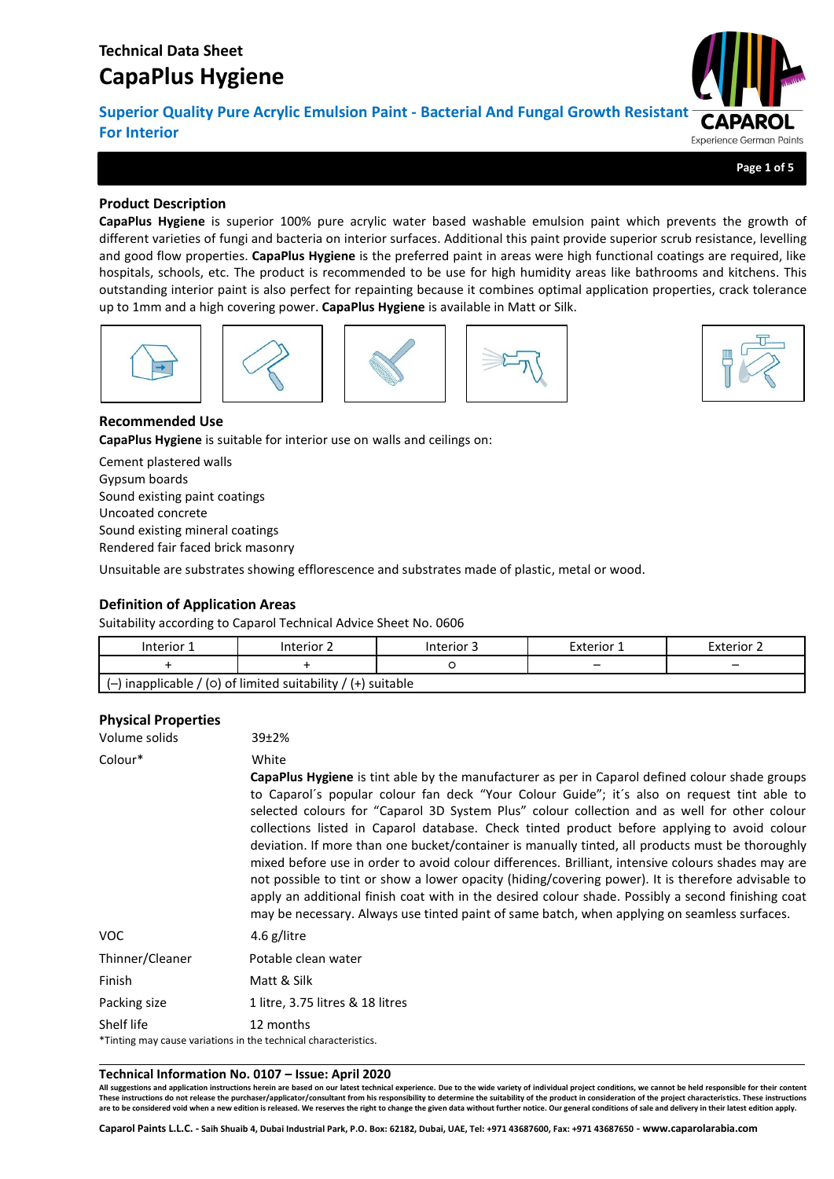**Superior Quality Pure Acrylic Emulsion Paint - Bacterial And Fungal Growth Resistant For Interior Experience German Paints** 

**Page 1 of 5**

## **Product Description**

**CapaPlus Hygiene** is superior 100% pure acrylic water based washable emulsion paint which prevents the growth of different varieties of fungi and bacteria on interior surfaces. Additional this paint provide superior scrub resistance, levelling and good flow properties. **CapaPlus Hygiene** is the preferred paint in areas were high functional coatings are required, like hospitals, schools, etc. The product is recommended to be use for high humidity areas like bathrooms and kitchens. This outstanding interior paint is also perfect for repainting because it combines optimal application properties, crack tolerance up to 1mm and a high covering power. **CapaPlus Hygiene** is available in Matt or Silk.











## **Recommended Use**

**CapaPlus Hygiene** is suitable for interior use on walls and ceilings on:

Cement plastered walls Gypsum boards Sound existing paint coatings Uncoated concrete Sound existing mineral coatings Rendered fair faced brick masonry

Unsuitable are substrates showing efflorescence and substrates made of plastic, metal or wood.

## **Definition of Application Areas**

Suitability according to Caparol Technical Advice Sheet No. 0606

| Interior 1 | Interior 2                                                     | Interior 3 | Exterior 1 | Exterior 2 |
|------------|----------------------------------------------------------------|------------|------------|------------|
|            |                                                                |            | -          |            |
|            | $(-)$ inapplicable / (0) of limited suitability / (+) suitable |            |            |            |

## **Physical Properties**

| Volume solids   | 39±2%                                                                                                                                                                                                                                                                                                                                                                                                                                                                                                                                                                                                                                                                                                                                                                                                                                                                                                                         |
|-----------------|-------------------------------------------------------------------------------------------------------------------------------------------------------------------------------------------------------------------------------------------------------------------------------------------------------------------------------------------------------------------------------------------------------------------------------------------------------------------------------------------------------------------------------------------------------------------------------------------------------------------------------------------------------------------------------------------------------------------------------------------------------------------------------------------------------------------------------------------------------------------------------------------------------------------------------|
| Colour*         | White<br>CapaPlus Hygiene is tint able by the manufacturer as per in Caparol defined colour shade groups<br>to Caparol's popular colour fan deck "Your Colour Guide"; it's also on request tint able to<br>selected colours for "Caparol 3D System Plus" colour collection and as well for other colour<br>collections listed in Caparol database. Check tinted product before applying to avoid colour<br>deviation. If more than one bucket/container is manually tinted, all products must be thoroughly<br>mixed before use in order to avoid colour differences. Brilliant, intensive colours shades may are<br>not possible to tint or show a lower opacity (hiding/covering power). It is therefore advisable to<br>apply an additional finish coat with in the desired colour shade. Possibly a second finishing coat<br>may be necessary. Always use tinted paint of same batch, when applying on seamless surfaces. |
| VOC             | 4.6 g/litre                                                                                                                                                                                                                                                                                                                                                                                                                                                                                                                                                                                                                                                                                                                                                                                                                                                                                                                   |
| Thinner/Cleaner | Potable clean water                                                                                                                                                                                                                                                                                                                                                                                                                                                                                                                                                                                                                                                                                                                                                                                                                                                                                                           |
| Finish          | Matt & Silk                                                                                                                                                                                                                                                                                                                                                                                                                                                                                                                                                                                                                                                                                                                                                                                                                                                                                                                   |
| Packing size    | 1 litre, 3.75 litres & 18 litres                                                                                                                                                                                                                                                                                                                                                                                                                                                                                                                                                                                                                                                                                                                                                                                                                                                                                              |
| Shelf life      | 12 months<br>*Tinting may cause variations in the technical characteristics.                                                                                                                                                                                                                                                                                                                                                                                                                                                                                                                                                                                                                                                                                                                                                                                                                                                  |

#### **Technical Information No. 0107 – Issue: April 2020**

**All suggestions and application instructions herein are based on our latest technical experience. Due to the wide variety of individual project conditions, we cannot be held responsible for their content**  These instructions do not release the purchaser/applicator/consultant from his responsibility of determine the suitability of the product in consideration of the project characteristics. These instructions<br>are to be consid

**Caparol Paints L.L.C. - Saih Shuaib 4, Dubai Industrial Park, P.O. Box: 62182, Dubai, UAE, Tel: +971 43687600, Fax: +971 43687650 - www.caparolarabia.com**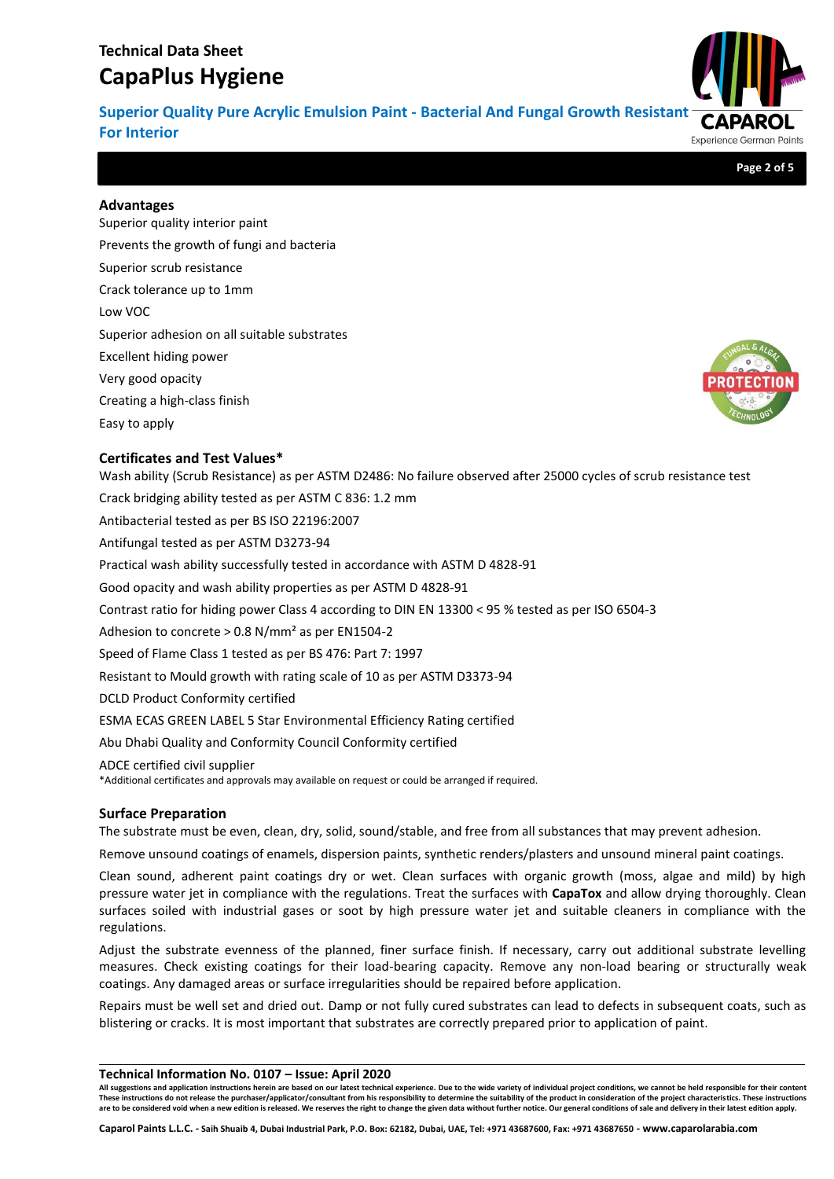**Superior Quality Pure Acrylic Emulsion Paint - Bacterial And Fungal Growth Resistant For Interior** Experience German Paints

**Page 2 of 5**

#### **Advantages**

Superior quality interior paint Prevents the growth of fungi and bacteria Superior scrub resistance Crack tolerance up to 1mm Low VOC Superior adhesion on all suitable substrates Excellent hiding power Very good opacity Creating a high-class finish Easy to apply

## **Certificates and Test Values\***

Wash ability (Scrub Resistance) as per ASTM D2486: No failure observed after 25000 cycles of scrub resistance test Crack bridging ability tested as per ASTM C 836: 1.2 mm Antibacterial tested as per BS ISO 22196:2007 Antifungal tested as per ASTM D3273-94 Practical wash ability successfully tested in accordance with ASTM D 4828-91 Good opacity and wash ability properties as per ASTM D 4828-91 Contrast ratio for hiding power Class 4 according to DIN EN 13300 < 95 % tested as per ISO 6504-3 Adhesion to concrete > 0.8 N/mm² as per EN1504-2 Speed of Flame Class 1 tested as per BS 476: Part 7: 1997 Resistant to Mould growth with rating scale of 10 as per ASTM D3373-94 DCLD Product Conformity certified ESMA ECAS GREEN LABEL 5 Star Environmental Efficiency Rating certified Abu Dhabi Quality and Conformity Council Conformity certified ADCE certified civil supplier \*Additional certificates and approvals may available on request or could be arranged if required.

## **Surface Preparation**

The substrate must be even, clean, dry, solid, sound/stable, and free from all substances that may prevent adhesion.

Remove unsound coatings of enamels, dispersion paints, synthetic renders/plasters and unsound mineral paint coatings.

Clean sound, adherent paint coatings dry or wet. Clean surfaces with organic growth (moss, algae and mild) by high pressure water jet in compliance with the regulations. Treat the surfaces with **CapaTox** and allow drying thoroughly. Clean surfaces soiled with industrial gases or soot by high pressure water jet and suitable cleaners in compliance with the regulations.

Adjust the substrate evenness of the planned, finer surface finish. If necessary, carry out additional substrate levelling measures. Check existing coatings for their load-bearing capacity. Remove any non-load bearing or structurally weak coatings. Any damaged areas or surface irregularities should be repaired before application.

Repairs must be well set and dried out. Damp or not fully cured substrates can lead to defects in subsequent coats, such as blistering or cracks. It is most important that substrates are correctly prepared prior to application of paint.

#### **Technical Information No. 0107 – Issue: April 2020**

**All suggestions and application instructions herein are based on our latest technical experience. Due to the wide variety of individual project conditions, we cannot be held responsible for their content**  These instructions do not release the purchaser/applicator/consultant from his responsibility of determine the suitability of the product in consideration of the project characteristics. These instructions<br>are to be consid



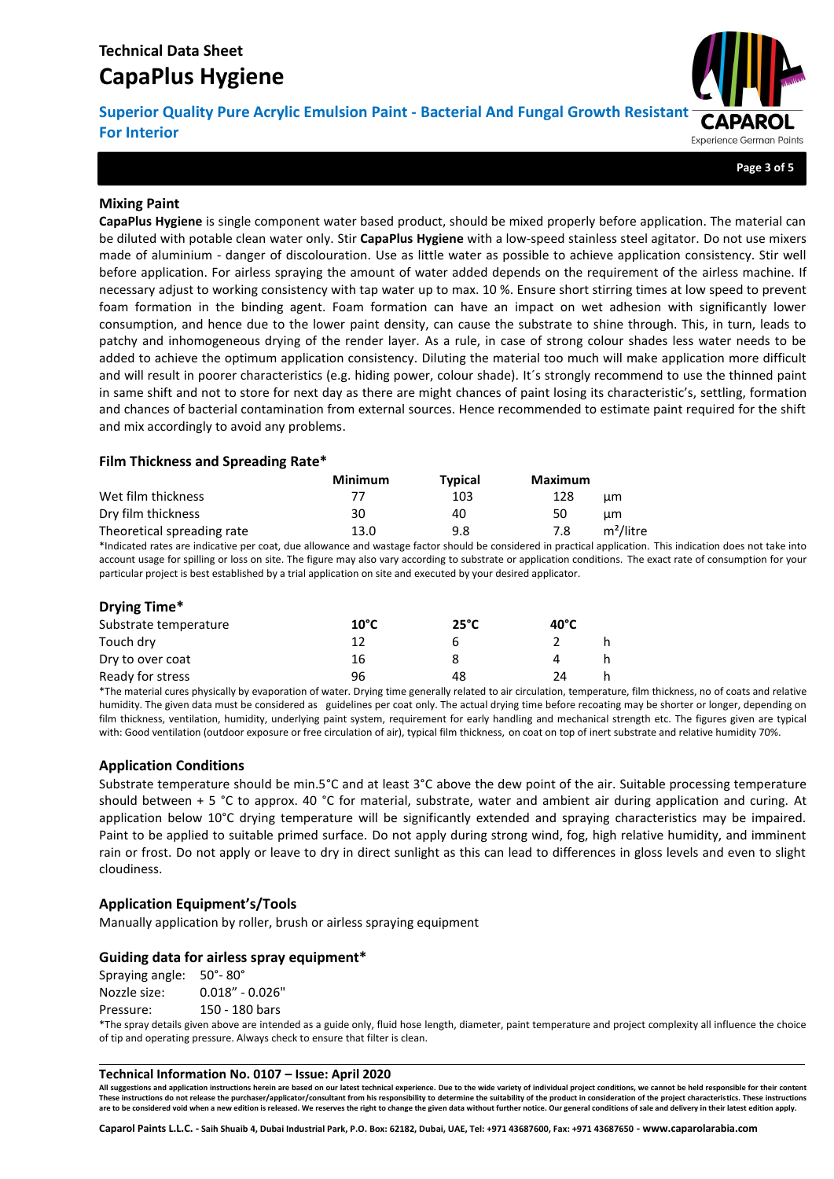**Superior Quality Pure Acrylic Emulsion Paint - Bacterial And Fungal Growth Resistant For Interior** Experience German Paints

**Page 3 of 5**

## **Mixing Paint**

**CapaPlus Hygiene** is single component water based product, should be mixed properly before application. The material can be diluted with potable clean water only. Stir **CapaPlus Hygiene** with a low-speed stainless steel agitator. Do not use mixers made of aluminium - danger of discolouration. Use as little water as possible to achieve application consistency. Stir well before application. For airless spraying the amount of water added depends on the requirement of the airless machine. If necessary adjust to working consistency with tap water up to max. 10 %. Ensure short stirring times at low speed to prevent foam formation in the binding agent. Foam formation can have an impact on wet adhesion with significantly lower consumption, and hence due to the lower paint density, can cause the substrate to shine through. This, in turn, leads to patchy and inhomogeneous drying of the render layer. As a rule, in case of strong colour shades less water needs to be added to achieve the optimum application consistency. Diluting the material too much will make application more difficult and will result in poorer characteristics (e.g. hiding power, colour shade). It´s strongly recommend to use the thinned paint in same shift and not to store for next day as there are might chances of paint losing its characteristic's, settling, formation and chances of bacterial contamination from external sources. Hence recommended to estimate paint required for the shift and mix accordingly to avoid any problems.

## **Film Thickness and Spreading Rate\***

|                            | Minimum | <b>Typical</b> | Maximum |                       |
|----------------------------|---------|----------------|---------|-----------------------|
| Wet film thickness         | 77      | 103            | 128     | цm                    |
| Dry film thickness         | 30      | 40             | 50      | цm                    |
| Theoretical spreading rate | 13.0    | 9.8            | 7.8     | m <sup>2</sup> /litre |

\*Indicated rates are indicative per coat, due allowance and wastage factor should be considered in practical application. This indication does not take into account usage for spilling or loss on site. The figure may also vary according to substrate or application conditions. The exact rate of consumption for your particular project is best established by a trial application on site and executed by your desired applicator.

#### **Drying Time\***

| Substrate temperature | $10^{\circ}$ C | $25^{\circ}$ C | $40^{\circ}$ C |  |
|-----------------------|----------------|----------------|----------------|--|
| Touch dry             |                | h              |                |  |
| Dry to over coat      | 16             |                |                |  |
| Ready for stress      | 96             | 48             | 2Δ             |  |

\*The material cures physically by evaporation of water. Drying time generally related to air circulation, temperature, film thickness, no of coats and relative humidity. The given data must be considered as guidelines per coat only. The actual drying time before recoating may be shorter or longer, depending on film thickness, ventilation, humidity, underlying paint system, requirement for early handling and mechanical strength etc. The figures given are typical with: Good ventilation (outdoor exposure or free circulation of air), typical film thickness, on coat on top of inert substrate and relative humidity 70%.

## **Application Conditions**

Substrate temperature should be min.5°C and at least 3°C above the dew point of the air. Suitable processing temperature should between + 5 °C to approx. 40 °C for material, substrate, water and ambient air during application and curing. At application below 10°C drying temperature will be significantly extended and spraying characteristics may be impaired. Paint to be applied to suitable primed surface. Do not apply during strong wind, fog, high relative humidity, and imminent rain or frost. Do not apply or leave to dry in direct sunlight as this can lead to differences in gloss levels and even to slight cloudiness.

## **Application Equipment's/Tools**

Manually application by roller, brush or airless spraying equipment

#### **Guiding data for airless spray equipment\***

Spraying angle: 50°- 80° Nozzle size: 0.018" - 0.026"

Pressure: 150 - 180 bars

\*The spray details given above are intended as a guide only, fluid hose length, diameter, paint temperature and project complexity all influence the choice of tip and operating pressure. Always check to ensure that filter is clean.

#### **Technical Information No. 0107 – Issue: April 2020**

All suggestions and application instructions herein are based on our latest technical experience. Due to the wide variety of individual project conditions, we cannot be held responsible for their content These instructions do not release the purchaser/applicator/consultant from his responsibility to determine the suitability of the product in consideration of the project characteristics. These instructions are to be considered void when a new edition is released. We reserves the right to change the given data without further notice. Our general conditions of sale and delivery in their latest edition apply.

**Caparol Paints L.L.C. - Saih Shuaib 4, Dubai Industrial Park, P.O. Box: 62182, Dubai, UAE, Tel: +971 43687600, Fax: +971 43687650 - www.caparolarabia.com**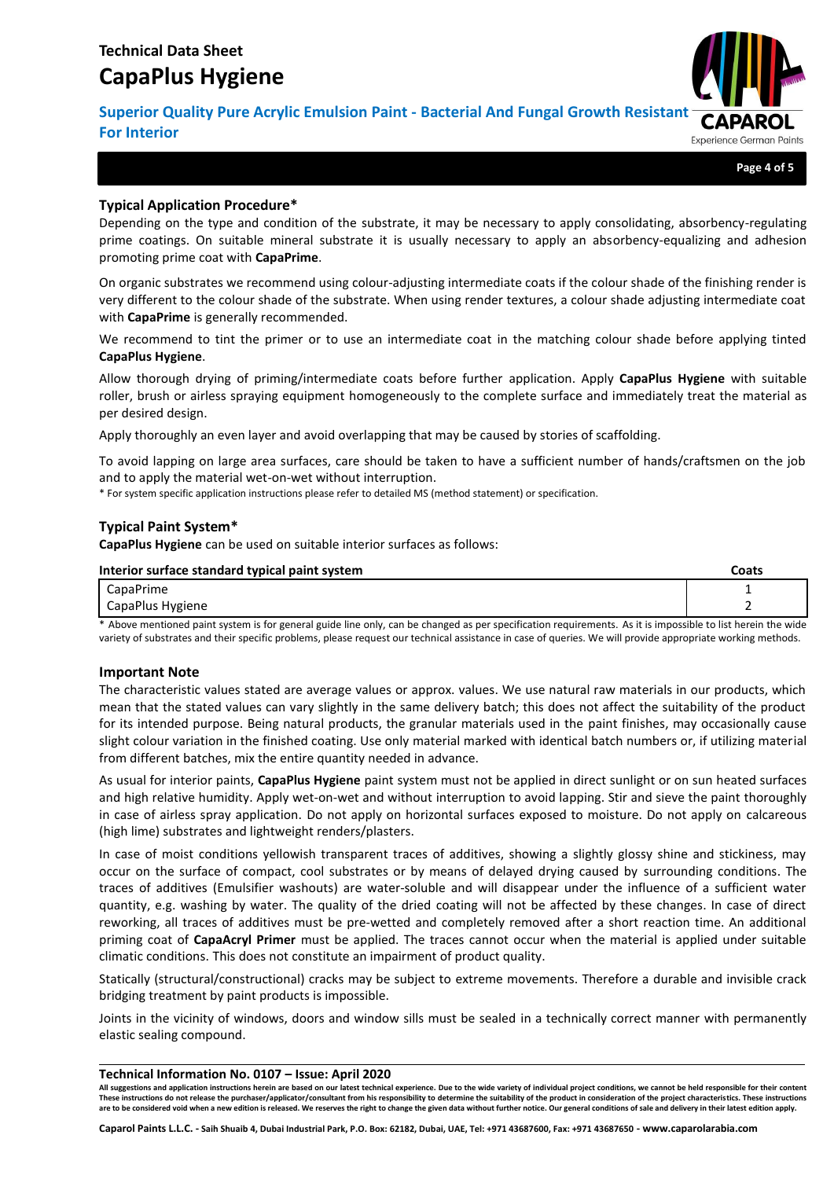**Superior Quality Pure Acrylic Emulsion Paint - Bacterial And Fungal Growth Resistant For Interior** Experience German Paints

**Page 4 of 5**

## **Typical Application Procedure\***

Depending on the type and condition of the substrate, it may be necessary to apply consolidating, absorbency-regulating prime coatings. On suitable mineral substrate it is usually necessary to apply an absorbency-equalizing and adhesion promoting prime coat with **CapaPrime**.

On organic substrates we recommend using colour-adjusting intermediate coats if the colour shade of the finishing render is very different to the colour shade of the substrate. When using render textures, a colour shade adjusting intermediate coat with **CapaPrime** is generally recommended.

We recommend to tint the primer or to use an intermediate coat in the matching colour shade before applying tinted **CapaPlus Hygiene**.

Allow thorough drying of priming/intermediate coats before further application. Apply **CapaPlus Hygiene** with suitable roller, brush or airless spraying equipment homogeneously to the complete surface and immediately treat the material as per desired design.

Apply thoroughly an even layer and avoid overlapping that may be caused by stories of scaffolding.

To avoid lapping on large area surfaces, care should be taken to have a sufficient number of hands/craftsmen on the job and to apply the material wet-on-wet without interruption.

\* For system specific application instructions please refer to detailed MS (method statement) or specification.

## **Typical Paint System\***

**CapaPlus Hygiene** can be used on suitable interior surfaces as follows:

| Interior surface standard typical paint system | Coats |
|------------------------------------------------|-------|
| CapaPrime                                      | -     |
| CapaPlus Hygiene                               |       |

\* Above mentioned paint system is for general guide line only, can be changed as per specification requirements. As it is impossible to list herein the wide variety of substrates and their specific problems, please request our technical assistance in case of queries. We will provide appropriate working methods.

#### **Important Note**

The characteristic values stated are average values or approx. values. We use natural raw materials in our products, which mean that the stated values can vary slightly in the same delivery batch; this does not affect the suitability of the product for its intended purpose. Being natural products, the granular materials used in the paint finishes, may occasionally cause slight colour variation in the finished coating. Use only material marked with identical batch numbers or, if utilizing material from different batches, mix the entire quantity needed in advance.

As usual for interior paints, **CapaPlus Hygiene** paint system must not be applied in direct sunlight or on sun heated surfaces and high relative humidity. Apply wet-on-wet and without interruption to avoid lapping. Stir and sieve the paint thoroughly in case of airless spray application. Do not apply on horizontal surfaces exposed to moisture. Do not apply on calcareous (high lime) substrates and lightweight renders/plasters.

In case of moist conditions yellowish transparent traces of additives, showing a slightly glossy shine and stickiness, may occur on the surface of compact, cool substrates or by means of delayed drying caused by surrounding conditions. The traces of additives (Emulsifier washouts) are water-soluble and will disappear under the influence of a sufficient water quantity, e.g. washing by water. The quality of the dried coating will not be affected by these changes. In case of direct reworking, all traces of additives must be pre-wetted and completely removed after a short reaction time. An additional priming coat of **CapaAcryl Primer** must be applied. The traces cannot occur when the material is applied under suitable climatic conditions. This does not constitute an impairment of product quality.

Statically (structural/constructional) cracks may be subject to extreme movements. Therefore a durable and invisible crack bridging treatment by paint products is impossible.

Joints in the vicinity of windows, doors and window sills must be sealed in a technically correct manner with permanently elastic sealing compound.

#### **Technical Information No. 0107 – Issue: April 2020**

All suggestions and application instructions herein are based on our latest technical experience. Due to the wide variety of individual project conditions, we cannot be held responsible for their content These instructions do not release the purchaser/applicator/consultant from his responsibility to determine the suitability of the product in consideration of the project characteristics. These instructions **are to be considered void when a new edition is released. We reserves the right to change the given data without further notice. Our general conditions of sale and delivery in their latest edition apply.**